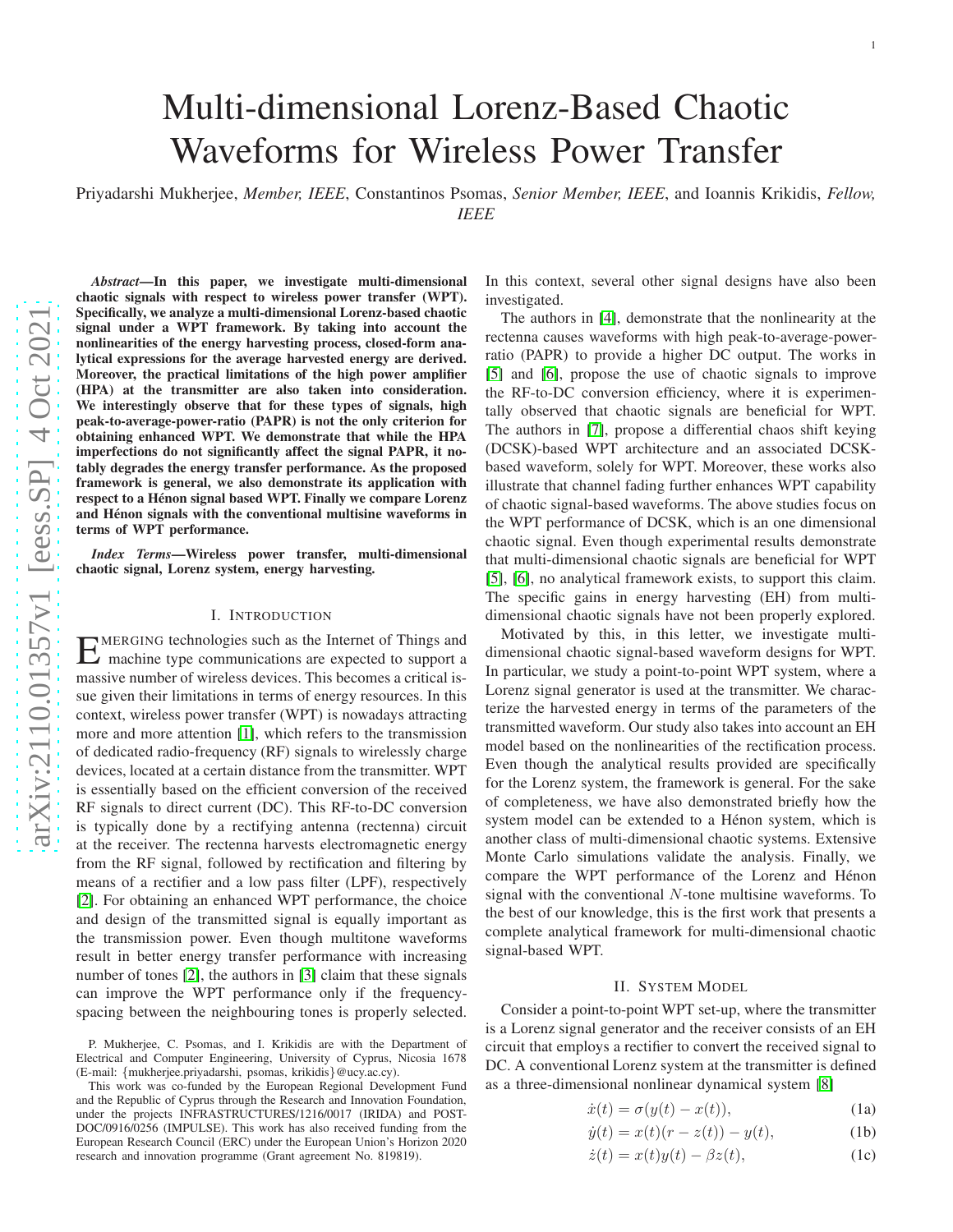# Multi-dimensional Lorenz-Based Chaotic Waveforms for Wireless Power Transfer

Priyadarshi Mukherjee, *Member, IEEE*, Constantinos Psomas, *Senior Member, IEEE*, and Ioannis Krikidis, *Fellow, IEEE*

*Abstract*—In this paper, we investigate multi-dimensional chaotic signals with respect to wireless power transfer (WPT). Specifically, we analyze a multi-dimensional Lorenz-based chaotic signal under a WPT framework. By taking into account the nonlinearities of the energy harvesting process, closed-form analytical expressions for the average harvested energy are derived. Moreover, the practical limitations of the high power amplifier (HPA) at the transmitter are also taken into consideration. We interestingly observe that for these types of signals, high peak-to-average-power-ratio (PAPR) is not the only criterion for obtaining enhanced WPT. We demonstrate that while the HPA imperfections do not significantly affect the signal PAPR, it notably degrades the energy transfer performance. As the proposed framework is general, we also demonstrate its application with respect to a Hénon signal based WPT. Finally we compare Lorenz and Hénon signals with the conventional multisine waveforms in terms of WPT performance. *Index Terms*—Wireless power transfer, multi-dimensional chaotic signal, Lorenz system, energy harvesting.

#### I. INTRODUCTION

EMERGING technologies such as the Internet of Things and<br>
machine type communications are expected to support a machine type communications are expected to support a massive number of wireless devices. This becomes a critical issue given their limitations in terms of energy resources. In this context, wireless power transfer (WPT) is nowadays attracting more and more attention [\[1\]](#page-4-0), which refers to the transmissio n of dedicated radio-frequency (RF) signals to wirelessly charge devices, located at a certain distance from the transmitter. WPT is essentially based on the efficient conversion of the received RF signals to direct current (DC). This RF-to-DC conversion is typically done by a rectifying antenna (rectenna) circui t at the receiver. The rectenna harvests electromagnetic energy from the RF signal, followed by rectification and filtering by means of a rectifier and a low pass filter (LPF), respectively [\[2\]](#page-4-1). For obtaining an enhanced WPT performance, the choice and design of the transmitted signal is equally important as the transmission power. Even though multitone waveforms result in better energy transfer performance with increasing number of tones [\[2\]](#page-4-1), the authors in [\[3\]](#page-4-2) claim that these signals can improve the WPT performance only if the frequencyspacing between the neighbouring tones is properly selected. In this context, several other signal designs have also been investigated.

The authors in [\[4\]](#page-4-3), demonstrate that the nonlinearity at the rectenna causes waveforms with high peak-to-average-powerratio (PAPR) to provide a higher DC output. The works in [\[5\]](#page-4-4) and [\[6\]](#page-4-5), propose the use of chaotic signals to improve the RF-to-DC conversion efficiency, where it is experimentally observed that chaotic signals are beneficial for WPT. The authors in [\[7\]](#page-4-6), propose a differential chaos shift keyin g (DCSK)-based WPT architecture and an associated DCSKbased waveform, solely for WPT. Moreover, these works also illustrate that channel fading further enhances WPT capability of chaotic signal-based waveforms. The above studies focus on the WPT performance of DCSK, which is an one dimensional chaotic signal. Even though experimental results demonstrate that multi-dimensional chaotic signals are beneficial for WPT [\[5\]](#page-4-4), [\[6\]](#page-4-5), no analytical framework exists, to support this claim. The specific gains in energy harvesting (EH) from multidimensional chaotic signals have not been properly explored.

Motivated by this, in this letter, we investigate multidimensional chaotic signal-based waveform designs for WPT. In particular, we study a point-to-point WPT system, where a Lorenz signal generator is used at the transmitter. We characterize the harvested energy in terms of the parameters of the transmitted waveform. Our study also takes into account an E H model based on the nonlinearities of the rectification process. Even though the analytical results provided are specificall y for the Lorenz system, the framework is general. For the sake of completeness, we have also demonstrated briefly how the system model can be extended to a Hénon system, which is another class of multi-dimensional chaotic systems. Extensive Monte Carlo simulations validate the analysis. Finally, we compare the WPT performance of the Lorenz and Hénon signal with the conventional N-tone multisine waveforms. To the best of our knowledge, this is the first work that presents a complete analytical framework for multi-dimensional chaotic signal-based WPT.

#### <span id="page-0-0"></span>II. SYSTEM MODEL

Consider a point-to-point WPT set-up, where the transmitte r is a Lorenz signal generator and the receiver consists of an E H circuit that employs a rectifier to convert the received signal to DC. A conventional Lorenz system at the transmitter is define d as a three-dimensional nonlinear dynamical system [\[8\]](#page-4-7)

$$
\dot{x}(t) = \sigma(y(t) - x(t)),\tag{1a}
$$

$$
\dot{y}(t) = x(t)(r - z(t)) - y(t),
$$
 (1b)

$$
\dot{z}(t) = x(t)y(t) - \beta z(t),\tag{1c}
$$

P. Mukherjee, C. Psomas, and I. Krikidis are with the Department of Electrical and Computer Engineering, University of Cyprus, Nicosia 1678 (E-mail: {mukherjee.priyadarshi, psomas, krikidis }@ucy.ac.cy).

This work was co-funded by the European Regional Development Fund and the Republic of Cyprus through the Research and Innovation Foundation, under the projects INFRASTRUCTURES/1216/0017 (IRIDA) and POST-DOC/0916/0256 (IMPULSE). This work has also received funding from the European Research Council (ERC) under the European Union's Horizon 2020 research and innovation programme (Grant agreement No. 819819).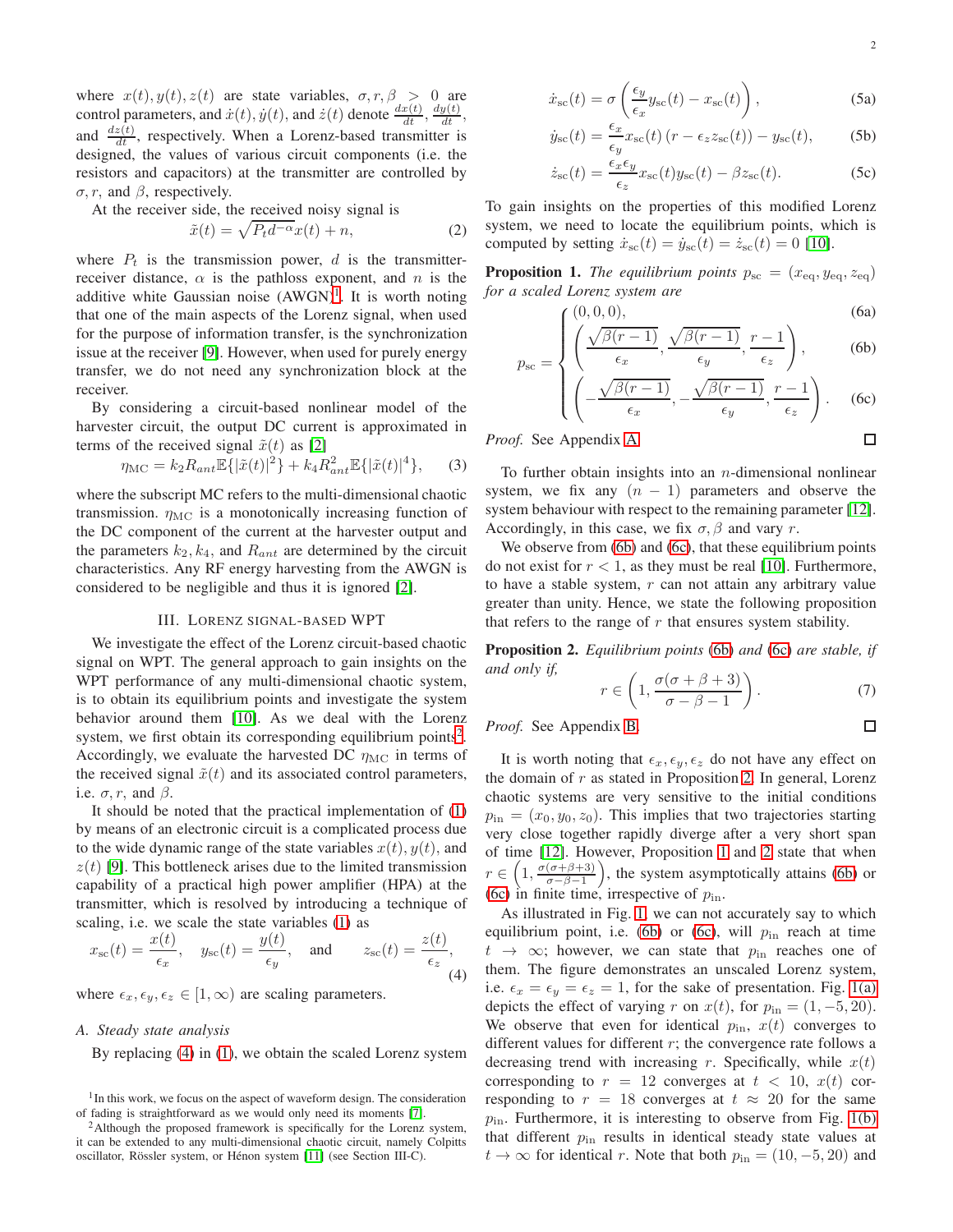where  $x(t)$ ,  $y(t)$ ,  $z(t)$  are state variables,  $\sigma$ ,  $r$ ,  $\beta > 0$  are control parameters, and  $\dot{x}(t), \dot{y}(t)$ , and  $\dot{z}(t)$  denote  $\frac{dx(t)}{dt}, \frac{dy(t)}{dt}$ , and  $\frac{dz(t)}{dt}$ , respectively. When a Lorenz-based transmitter is designed, the values of various circuit components (i.e. the resistors and capacitors) at the transmitter are controlled by  $\sigma$ , r, and  $\beta$ , respectively.

At the receiver side, the received noisy signal is

<span id="page-1-6"></span>
$$
\tilde{x}(t) = \sqrt{P_t d^{-\alpha}} x(t) + n,\tag{2}
$$

where  $P_t$  is the transmission power, d is the transmitterreceiver distance,  $\alpha$  is the pathloss exponent, and n is the additive white Gaussian noise (AWGN)<sup>[1](#page-1-0)</sup>. It is worth noting that one of the main aspects of the Lorenz signal, when used for the purpose of information transfer, is the synchronization issue at the receiver [\[9\]](#page-4-8). However, when used for purely energy transfer, we do not need any synchronization block at the receiver.

By considering a circuit-based nonlinear model of the harvester circuit, the output DC current is approximated in terms of the received signal  $\tilde{x}(t)$  as [\[2\]](#page-4-1)

<span id="page-1-7"></span>
$$
\eta_{\rm MC} = k_2 R_{ant} \mathbb{E}\{|\tilde{x}(t)|^2\} + k_4 R_{ant}^2 \mathbb{E}\{|\tilde{x}(t)|^4\},\qquad(3)
$$

where the subscript MC refers to the multi-dimensional chaotic transmission.  $\eta_{MC}$  is a monotonically increasing function of the DC component of the current at the harvester output and the parameters  $k_2$ ,  $k_4$ , and  $R_{ant}$  are determined by the circuit characteristics. Any RF energy harvesting from the AWGN is considered to be negligible and thus it is ignored [\[2\]](#page-4-1).

#### III. LORENZ SIGNAL-BASED WPT

We investigate the effect of the Lorenz circuit-based chaotic signal on WPT. The general approach to gain insights on the WPT performance of any multi-dimensional chaotic system, is to obtain its equilibrium points and investigate the system behavior around them [\[10\]](#page-4-9). As we deal with the Lorenz system, we first obtain its corresponding equilibrium points<sup>[2](#page-1-1)</sup>. Accordingly, we evaluate the harvested DC  $\eta_{MC}$  in terms of the received signal  $\tilde{x}(t)$  and its associated control parameters, i.e.  $\sigma$ , r, and  $\beta$ .

It should be noted that the practical implementation of [\(1\)](#page-0-0) by means of an electronic circuit is a complicated process due to the wide dynamic range of the state variables  $x(t)$ ,  $y(t)$ , and  $z(t)$  [\[9\]](#page-4-8). This bottleneck arises due to the limited transmission capability of a practical high power amplifier (HPA) at the transmitter, which is resolved by introducing a technique of scaling, i.e. we scale the state variables [\(1\)](#page-0-0) as

<span id="page-1-2"></span>
$$
x_{\text{sc}}(t) = \frac{x(t)}{\epsilon_x}, \quad y_{\text{sc}}(t) = \frac{y(t)}{\epsilon_y}, \quad \text{and} \quad z_{\text{sc}}(t) = \frac{z(t)}{\epsilon_z},
$$
 (4)

where  $\epsilon_x, \epsilon_y, \epsilon_z \in [1, \infty)$  are scaling parameters.

#### <span id="page-1-10"></span>*A. Steady state analysis*

<span id="page-1-8"></span>By replacing [\(4\)](#page-1-2) in [\(1\)](#page-0-0), we obtain the scaled Lorenz system

$$
\dot{x}_{\rm sc}(t) = \sigma \left( \frac{\epsilon_y}{\epsilon_x} y_{\rm sc}(t) - x_{\rm sc}(t) \right),\tag{5a}
$$

$$
\dot{y}_{\rm sc}(t) = \frac{\epsilon_x}{\epsilon_y} x_{\rm sc}(t) \left( r - \epsilon_z z_{\rm sc}(t) \right) - y_{\rm sc}(t), \tag{5b}
$$

$$
\dot{z}_{\rm sc}(t) = \frac{\epsilon_x \epsilon_y}{\epsilon_z} x_{\rm sc}(t) y_{\rm sc}(t) - \beta z_{\rm sc}(t). \tag{5c}
$$

To gain insights on the properties of this modified Lorenz system, we need to locate the equilibrium points, which is computed by setting  $\dot{x}_{\rm sc}(t) = \dot{y}_{\rm sc}(t) = \dot{z}_{\rm sc}(t) = 0$  [\[10\]](#page-4-9).

<span id="page-1-5"></span>**Proposition 1.** *The equilibrium points*  $p_{\rm sc} = (x_{\rm eq}, y_{\rm eq}, z_{\rm eq})$ *for a scaled Lorenz system are*

$$
\left(\begin{array}{cc} (0,0,0), & \text{(6a)} \end{array}\right)
$$

$$
c_{\rm c} = \left\{ \left( \frac{\sqrt{\beta(r-1)}}{\epsilon_x}, \frac{\sqrt{\beta(r-1)}}{\epsilon_y}, \frac{r-1}{\epsilon_z} \right), \right\} \tag{6b}
$$

$$
\left( \left( -\frac{\sqrt{\beta(r-1)}}{\epsilon_x}, -\frac{\sqrt{\beta(r-1)}}{\epsilon_y}, \frac{r-1}{\epsilon_z} \right). \quad \text{(6c)}
$$

*Proof.* See Appendix [A.](#page-3-0)

<span id="page-1-3"></span> $p_{\rm s}$ 

To further obtain insights into an  $n$ -dimensional nonlinear system, we fix any  $(n - 1)$  parameters and observe the system behaviour with respect to the remaining parameter [\[12\]](#page-4-11). Accordingly, in this case, we fix  $\sigma$ ,  $\beta$  and vary r.

We observe from [\(6b\)](#page-1-3) and [\(6c\)](#page-1-3), that these equilibrium points do not exist for  $r < 1$ , as they must be real [\[10\]](#page-4-9). Furthermore, to have a stable system,  $r$  can not attain any arbitrary value greater than unity. Hence, we state the following proposition that refers to the range of  $r$  that ensures system stability.

<span id="page-1-4"></span>Proposition 2. *Equilibrium points* [\(6b\)](#page-1-3) *and* [\(6c\)](#page-1-3) *are stable, if and only if,*  $\lambda$ 

$$
r \in \left(1, \frac{\sigma(\sigma + \beta + 3)}{\sigma - \beta - 1}\right). \tag{7}
$$

*Proof.* See Appendix [B.](#page-4-12)

It is worth noting that  $\epsilon_x, \epsilon_y, \epsilon_z$  do not have any effect on the domain of  $r$  as stated in Proposition [2.](#page-1-4) In general, Lorenz chaotic systems are very sensitive to the initial conditions  $p_{\text{in}} = (x_0, y_0, z_0)$ . This implies that two trajectories starting very close together rapidly diverge after a very short span of time [\[12\]](#page-4-11). However, Proposition [1](#page-1-5) and [2](#page-1-4) state that when  $r \in \left(1, \frac{\sigma(\sigma+\beta+3)}{\sigma-\beta-1}\right)$ , the system asymptotically attains [\(6b\)](#page-1-3) or [\(6c\)](#page-1-3) in finite time, irrespective of  $p_{\text{in}}$ .

As illustrated in Fig. [1,](#page-2-0) we can not accurately say to which equilibrium point, i.e. [\(6b\)](#page-1-3) or [\(6c\)](#page-1-3), will  $p_{\text{in}}$  reach at time  $t \rightarrow \infty$ ; however, we can state that  $p_{\text{in}}$  reaches one of them. The figure demonstrates an unscaled Lorenz system, i.e.  $\epsilon_x = \epsilon_y = \epsilon_z = 1$ , for the sake of presentation. Fig. [1\(a\)](#page-2-1) depicts the effect of varying r on  $x(t)$ , for  $p_{\text{in}} = (1, -5, 20)$ . We observe that even for identical  $p_{\text{in}}$ ,  $x(t)$  converges to different values for different  $r$ ; the convergence rate follows a decreasing trend with increasing r. Specifically, while  $x(t)$ corresponding to  $r = 12$  converges at  $t < 10$ ,  $x(t)$  corresponding to  $r = 18$  converges at  $t \approx 20$  for the same  $p_{\text{in}}$ . Furthermore, it is interesting to observe from Fig. [1\(b\)](#page-2-2) that different  $p_{\text{in}}$  results in identical steady state values at  $t \to \infty$  for identical r. Note that both  $p_{\text{in}} = (10, -5, 20)$  and

<span id="page-1-9"></span> $\Box$ 

 $\Box$ 

<span id="page-1-0"></span><sup>&</sup>lt;sup>1</sup>In this work, we focus on the aspect of waveform design. The consideration of fading is straightforward as we would only need its moments [\[7\]](#page-4-6).

<span id="page-1-1"></span><sup>&</sup>lt;sup>2</sup>Although the proposed framework is specifically for the Lorenz system, it can be extended to any multi-dimensional chaotic circuit, namely Colpitts oscillator, Rössler system, or Hénon system [\[11\]](#page-4-10) (see Section III-C).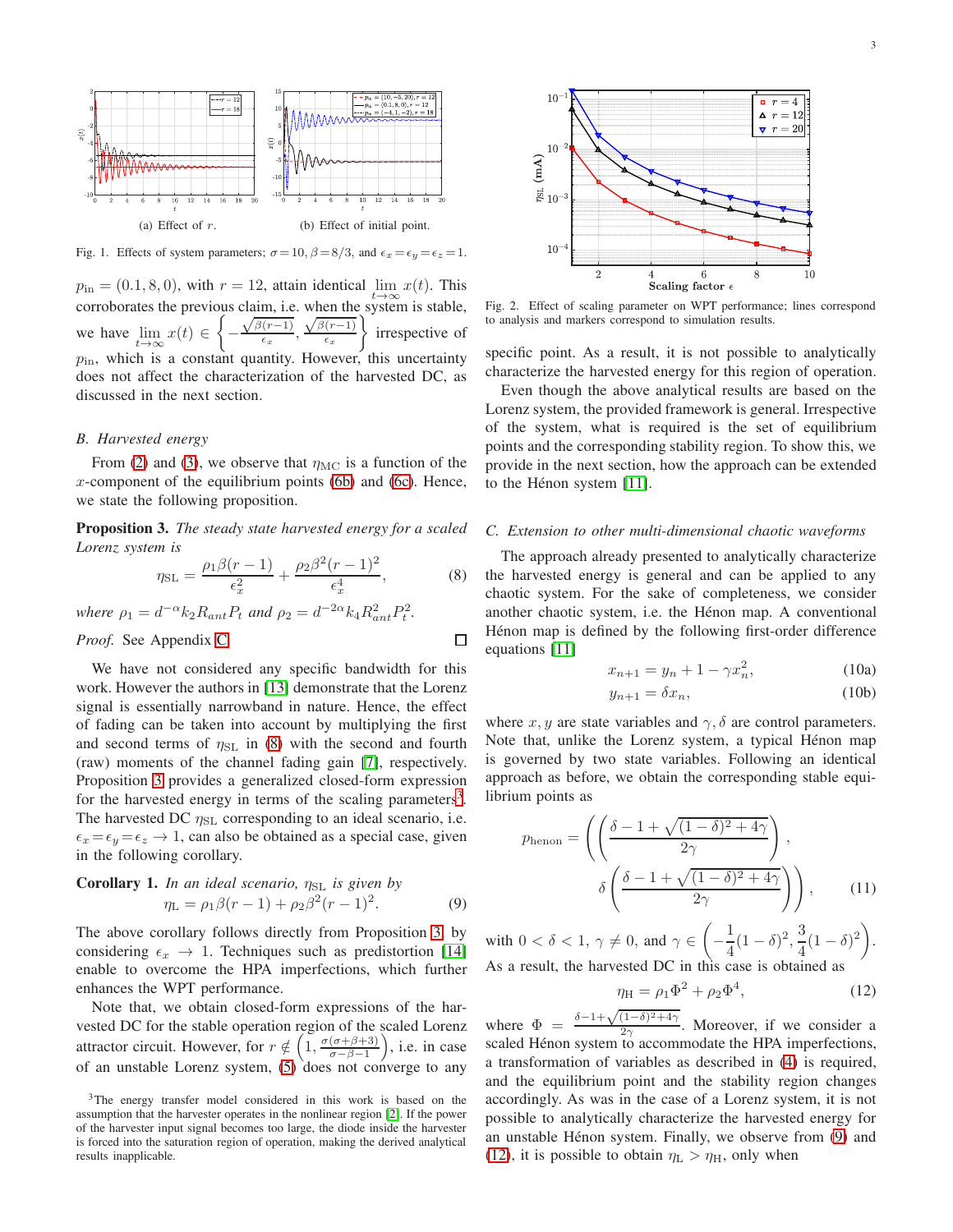<span id="page-2-1"></span>

<span id="page-2-2"></span><span id="page-2-0"></span>Fig. 1. Effects of system parameters;  $\sigma = 10$ ,  $\beta = 8/3$ , and  $\epsilon_x = \epsilon_y = \epsilon_z = 1$ .

 $p_{\text{in}} = (0.1, 8, 0)$ , with  $r = 12$ , attain identical  $\lim_{t \to \infty} x(t)$ . This corroborates the previous claim, i.e. when the system is stable, we have  $\lim_{t\to\infty}x(t) \in \left\{$ −  $\sqrt{\beta(r-1)}$  $\frac{(t-1)}{\epsilon_x},$  $\sqrt{\beta(r-1)}$  $\epsilon_x$  irrespective of  $p_{\text{in}}$ , which is a constant quantity. However, this uncertainty does not affect the characterization of the harvested DC, as discussed in the next section.

#### *B. Harvested energy*

From [\(2\)](#page-1-6) and [\(3\)](#page-1-7), we observe that  $\eta_{MC}$  is a function of the  $x$ -component of the equilibrium points [\(6b\)](#page-1-3) and [\(6c\)](#page-1-3). Hence, we state the following proposition.

<span id="page-2-4"></span>Proposition 3. *The steady state harvested energy for a scaled Lorenz system is*

<span id="page-2-3"></span>
$$
\eta_{\rm SL} = \frac{\rho_1 \beta (r-1)}{\epsilon_x^2} + \frac{\rho_2 \beta^2 (r-1)^2}{\epsilon_x^4},\tag{8}
$$

 $\Box$ 

*where*  $\rho_1 = d^{-\alpha} k_2 R_{ant} P_t$  *and*  $\rho_2 = d^{-2\alpha} k_4 R_{ant}^2 P_t^2$ .

*Proof.* See Appendix [C.](#page-4-13)

We have not considered any specific bandwidth for this work. However the authors in [\[13\]](#page-4-14) demonstrate that the Lorenz signal is essentially narrowband in nature. Hence, the effect of fading can be taken into account by multiplying the first and second terms of  $\eta_{SL}$  in [\(8\)](#page-2-3) with the second and fourth (raw) moments of the channel fading gain [\[7\]](#page-4-6), respectively. Proposition [3](#page-2-4) provides a generalized closed-form expression for the harvested energy in terms of the scaling parameters<sup>[3](#page-2-5)</sup>. The harvested DC  $\eta_{SL}$  corresponding to an ideal scenario, i.e.  $\epsilon_x = \epsilon_y = \epsilon_z \rightarrow 1$ , can also be obtained as a special case, given in the following corollary.

<span id="page-2-6"></span>**Corollary 1.** In an ideal scenario, 
$$
\eta_{SL}
$$
 is given by  
\n
$$
\eta_{L} = \rho_{1}\beta(r-1) + \rho_{2}\beta^{2}(r-1)^{2}.
$$
\n(9)

The above corollary follows directly from Proposition [3,](#page-2-4) by considering  $\epsilon_x \rightarrow 1$ . Techniques such as predistortion [\[14\]](#page-4-15) enable to overcome the HPA imperfections, which further enhances the WPT performance.

Note that, we obtain closed-form expressions of the harvested DC for the stable operation region of the scaled Lorenz attractor circuit. However, for  $r \notin \left(1, \frac{\sigma(\sigma+\beta+3)}{\sigma-\beta-1}\right)$ , i.e. in case of an unstable Lorenz system,  $(5)$  does not converge to any



<span id="page-2-8"></span>Fig. 2. Effect of scaling parameter on WPT performance; lines correspond to analysis and markers correspond to simulation results.

specific point. As a result, it is not possible to analytically characterize the harvested energy for this region of operation.

Even though the above analytical results are based on the Lorenz system, the provided framework is general. Irrespective of the system, what is required is the set of equilibrium points and the corresponding stability region. To show this, we provide in the next section, how the approach can be extended to the Hénon system  $[11]$ .

#### *C. Extension to other multi-dimensional chaotic waveforms*

The approach already presented to analytically characterize the harvested energy is general and can be applied to any chaotic system. For the sake of completeness, we consider another chaotic system, i.e. the Hénon map. A conventional Hénon map is defined by the following first-order difference equations [\[11\]](#page-4-10)

$$
x_{n+1} = y_n + 1 - \gamma x_n^2,
$$
 (10a)

$$
y_{n+1} = \delta x_n,\tag{10b}
$$

where x, y are state variables and  $\gamma$ ,  $\delta$  are control parameters. Note that, unlike the Lorenz system, a typical Hénon map is governed by two state variables. Following an identical approach as before, we obtain the corresponding stable equilibrium points as

$$
p_{\text{henon}} = \left( \left( \frac{\delta - 1 + \sqrt{(1 - \delta)^2 + 4\gamma}}{2\gamma} \right), \delta \left( \frac{\delta - 1 + \sqrt{(1 - \delta)^2 + 4\gamma}}{2\gamma} \right) \right), \quad (11)
$$

with  $0 < \delta < 1, \, \gamma \neq 0$ , and  $\gamma \in$   $\Big($ − 1  $\frac{1}{4}(1-\delta)^2, \frac{3}{4}$  $\frac{3}{4}(1-\delta)^2\bigg).$ As a result, the harvested DC in this case is obtained as

<span id="page-2-7"></span>
$$
\eta_{\rm H} = \rho_1 \Phi^2 + \rho_2 \Phi^4, \tag{12}
$$

where  $\Phi = \frac{\delta - 1 + \sqrt{(1-\delta)^2 + 4\gamma}}{2\gamma}$  $\frac{(1-\sigma)^2+4\gamma}{2\gamma}$ . Moreover, if we consider a scaled Hénon system to accommodate the HPA imperfections, a transformation of variables as described in [\(4\)](#page-1-2) is required, and the equilibrium point and the stability region changes accordingly. As was in the case of a Lorenz system, it is not possible to analytically characterize the harvested energy for an unstable Hénon system. Finally, we observe from [\(9\)](#page-2-6) and [\(12\)](#page-2-7), it is possible to obtain  $\eta_{\rm L} > \eta_{\rm H}$ , only when

<span id="page-2-5"></span><sup>3</sup>The energy transfer model considered in this work is based on the assumption that the harvester operates in the nonlinear region [\[2\]](#page-4-1). If the power of the harvester input signal becomes too large, the diode inside the harvester is forced into the saturation region of operation, making the derived analytical results inapplicable.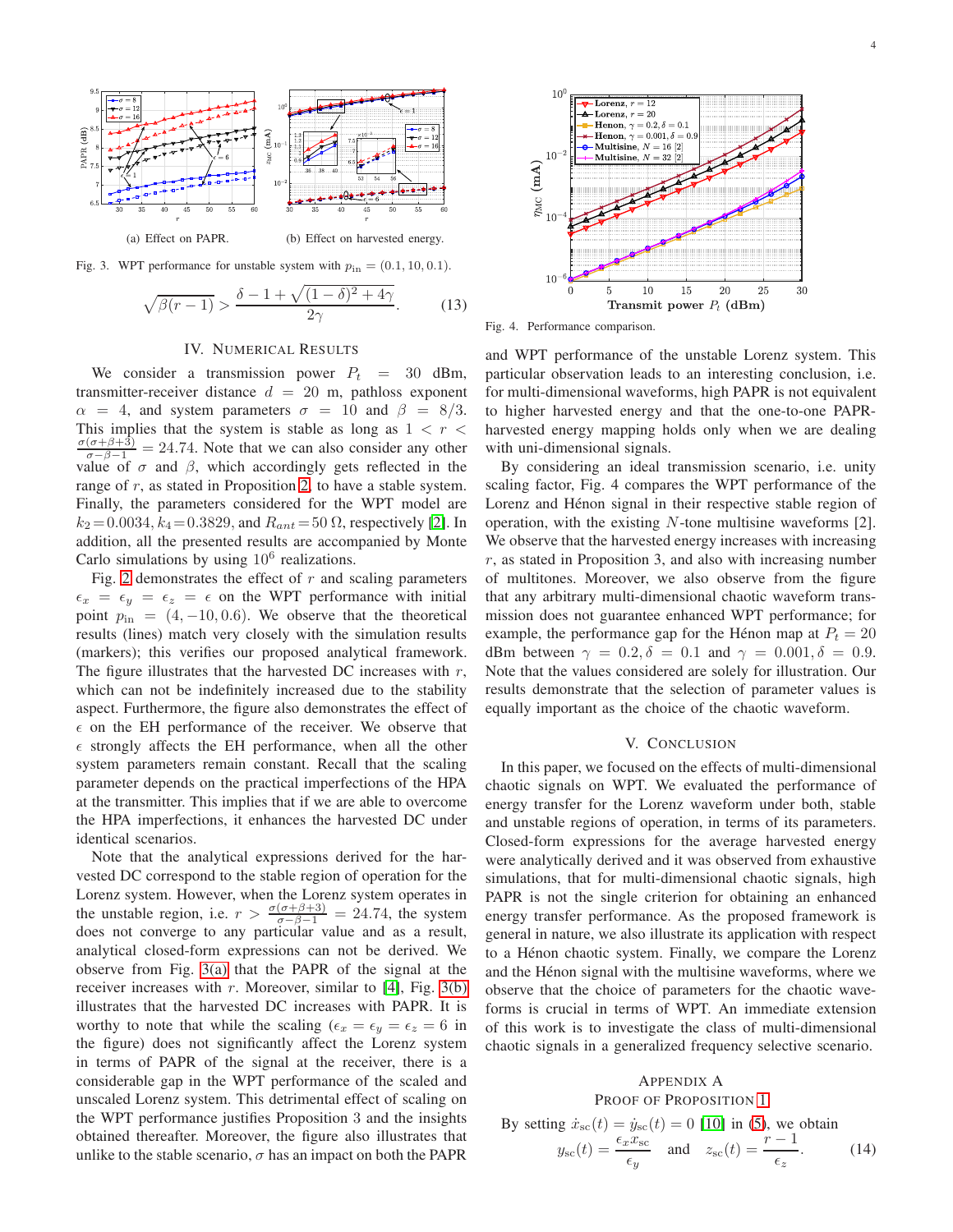<span id="page-3-1"></span>

Fig. 3. WPT performance for unstable system with  $p_{\text{in}} = (0.1, 10, 0.1)$ .

<span id="page-3-2"></span>
$$
\sqrt{\beta(r-1)} > \frac{\delta - 1 + \sqrt{(1-\delta)^2 + 4\gamma}}{2\gamma}.\tag{13}
$$

#### IV. NUMERICAL RESULTS

We consider a transmission power  $P_t = 30$  dBm, transmitter-receiver distance  $d = 20$  m, pathloss exponent  $\alpha = 4$ , and system parameters  $\sigma = 10$  and  $\beta = 8/3$ . This implies that the system is stable as long as  $1 < r <$  $\frac{\sigma(\sigma+\beta+3)}{\sigma-\beta-1} = 24.74$ . Note that we can also consider any other value of  $\sigma$  and  $\beta$ , which accordingly gets reflected in the range of  $r$ , as stated in Proposition [2,](#page-1-4) to have a stable system. Finally, the parameters considered for the WPT model are  $k_2 = 0.0034, k_4 = 0.3829$ , and  $R_{ant} = 50 \Omega$ , respectively [\[2\]](#page-4-1). In addition, all the presented results are accompanied by Monte Carlo simulations by using  $10^6$  realizations.

Fig. [2](#page-2-8) demonstrates the effect of  $r$  and scaling parameters  $\epsilon_x = \epsilon_y = \epsilon_z = \epsilon$  on the WPT performance with initial point  $p_{\text{in}} = (4, -10, 0.6)$ . We observe that the theoretical results (lines) match very closely with the simulation results (markers); this verifies our proposed analytical framework. The figure illustrates that the harvested DC increases with  $r$ , which can not be indefinitely increased due to the stability aspect. Furthermore, the figure also demonstrates the effect of  $\epsilon$  on the EH performance of the receiver. We observe that  $\epsilon$  strongly affects the EH performance, when all the other system parameters remain constant. Recall that the scaling parameter depends on the practical imperfections of the HPA at the transmitter. This implies that if we are able to overcome the HPA imperfections, it enhances the harvested DC under identical scenarios.

Note that the analytical expressions derived for the harvested DC correspond to the stable region of operation for the Lorenz system. However, when the Lorenz system operates in the unstable region, i.e.  $r > \frac{\sigma(\sigma+\beta+3)}{\sigma-\beta-1} = 24.74$ , the system does not converge to any particular value and as a result, analytical closed-form expressions can not be derived. We observe from Fig. [3\(a\)](#page-3-1) that the PAPR of the signal at the receiver increases with r. Moreover, similar to [\[4\]](#page-4-3), Fig.  $3(b)$ illustrates that the harvested DC increases with PAPR. It is worthy to note that while the scaling  $(\epsilon_x = \epsilon_y = \epsilon_z = 6$  in the figure) does not significantly affect the Lorenz system in terms of PAPR of the signal at the receiver, there is a considerable gap in the WPT performance of the scaled and unscaled Lorenz system. This detrimental effect of scaling on the WPT performance justifies Proposition 3 and the insights obtained thereafter. Moreover, the figure also illustrates that unlike to the stable scenario,  $\sigma$  has an impact on both the PAPR



Fig. 4. Performance comparison.

and WPT performance of the unstable Lorenz system. This particular observation leads to an interesting conclusion, i.e. for multi-dimensional waveforms, high PAPR is not equivalent to higher harvested energy and that the one-to-one PAPRharvested energy mapping holds only when we are dealing with uni-dimensional signals.

By considering an ideal transmission scenario, i.e. unity scaling factor, Fig. 4 compares the WPT performance of the Lorenz and Hénon signal in their respective stable region of operation, with the existing  $N$ -tone multisine waveforms [2]. We observe that the harvested energy increases with increasing  $r$ , as stated in Proposition 3, and also with increasing number of multitones. Moreover, we also observe from the figure that any arbitrary multi-dimensional chaotic waveform transmission does not guarantee enhanced WPT performance; for example, the performance gap for the Hénon map at  $P_t = 20$ dBm between  $\gamma = 0.2, \delta = 0.1$  and  $\gamma = 0.001, \delta = 0.9$ . Note that the values considered are solely for illustration. Our results demonstrate that the selection of parameter values is equally important as the choice of the chaotic waveform.

#### V. CONCLUSION

In this paper, we focused on the effects of multi-dimensional chaotic signals on WPT. We evaluated the performance of energy transfer for the Lorenz waveform under both, stable and unstable regions of operation, in terms of its parameters. Closed-form expressions for the average harvested energy were analytically derived and it was observed from exhaustive simulations, that for multi-dimensional chaotic signals, high PAPR is not the single criterion for obtaining an enhanced energy transfer performance. As the proposed framework is general in nature, we also illustrate its application with respect to a Hénon chaotic system. Finally, we compare the Lorenz and the Hénon signal with the multisine waveforms, where we observe that the choice of parameters for the chaotic waveforms is crucial in terms of WPT. An immediate extension of this work is to investigate the class of multi-dimensional chaotic signals in a generalized frequency selective scenario.

#### <span id="page-3-0"></span>APPENDIX A PROOF OF PROPOSITION [1](#page-1-5)

By setting  $\dot{x}_{sc}(t) = \dot{y}_{sc}(t) = 0$  [\[10\]](#page-4-9) in [\(5\)](#page-1-8), we obtain

<span id="page-3-3"></span>
$$
y_{\rm sc}(t) = \frac{\epsilon_x x_{\rm sc}}{\epsilon_y} \quad \text{and} \quad z_{\rm sc}(t) = \frac{r-1}{\epsilon_z}.
$$
 (14)